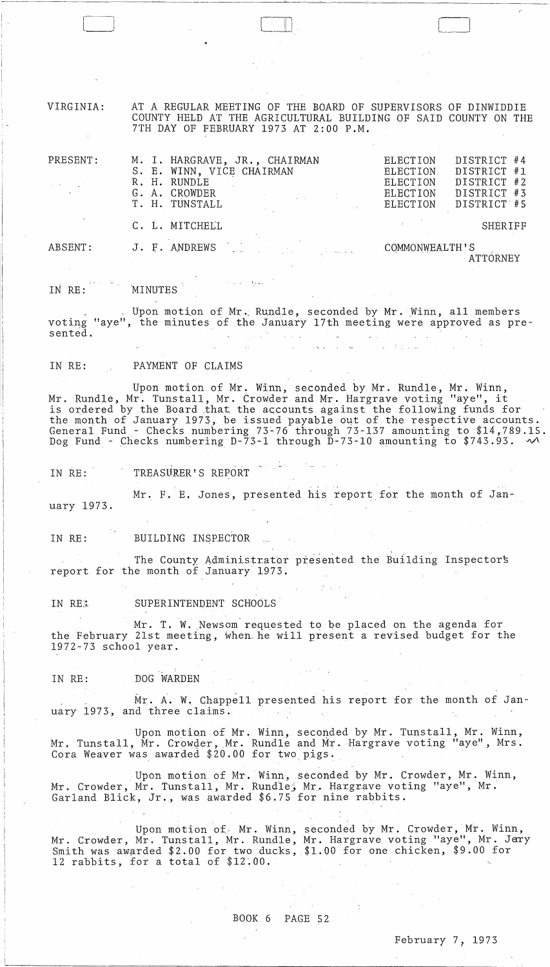VIRGINIA: AT A REGULAR MEETING OF THE BOARD OF SUPERVISORS OF DINWIDDIE COUNTY HELD AT THE AGRICULTURAL BUILDING OF SAID COUNTY ON THE 7TH DAY OF FEBRUARY 1973 AT 2:00 P.M.

 $\Box$ 

| PRESENT: | M. I. HARGRAVE, JR., CHAIRMAN<br>S. E. WINN, VICE CHAIRMAN<br>R. H. RUNDLE<br>G. A. CROWDER<br>T. H. TUNSTALL | DISTRICT #4<br>ELECTION<br>DISTRICT #1<br><b>ELECTION</b><br>DISTRICT #2<br>ELECTION<br>DISTRICT #3<br>ELECTION<br>ELECTION<br>DISTRICT #5 |
|----------|---------------------------------------------------------------------------------------------------------------|--------------------------------------------------------------------------------------------------------------------------------------------|
|          | C. L. MITCHELL                                                                                                | <b>SHERIFF</b>                                                                                                                             |
| ABSENT:  | J. F. ANDREWS                                                                                                 | COMMONWEALTH'S                                                                                                                             |

IN RE: 'MINUTES

Upon motion of Mr. Rundle, seconded by Mr. Winn, all members voting "aye", the minutes of the January 17th meeting were approved as presented.

! •.• ,

IN RE: PAYMENT OF CLAIMS

Upon motion of Mr. Winn, seconded by Mr. Rundle, Mr. Winn,<br>Mr. Rundle, Mr. Tunstall, Mr. Crowder and Mr. Hargrave voting "aye", it is ordered by the Board that the accounts against the following funds for the month of January 1973, be issued payable out of the respective accounts. General Fund- Checks numbering 73'-76 through 73-137 amounting to \$14,789.15. Dog Fund - Checks numbering D-73-1 through  $D-73-10$  amounting to \$743.93.  $\sim$ 

IN RE: TREASURER'S REPORT

Mr. F. E. Jones, presented his report for the month of Jan-

uary 1973.

IN RE: BUILDING INSPECTOR

The County Administrator presented the Building Inspectors report for the month of January 1973.

IN RE. SUPERINTENDENT SCHOOLS

Mr. T. W. Newsom requested to be placed on the agenda for the February 21st meeting, when he will present a revised budget for the 1972-73 school year.

IN RE: DOG WARDEN

 $\sim$ 

Mr. A. W. Chappell presented his report for the month of January 1973, and three claims.

Upon motion of Mr. Winn, seconded by Mr. Tunstall, Mr. Winn, Mr. Tunstall, Mr. Crowder, Mr. Rundle and Mr. Hargrave voting "aye", Mrs. Cora Weaver was awarded  $$20.00$  for two pigs.

Upon motion of Mr. Winn, seconded by Mr. Crowder, Mr. Winn, Mr. Crowder, Mr. Tunstall, Mr. Rundle, Mr. Hargrave voting "aye", Mr. Garland Blick, Jr., was awarded \$6.75 for nine rabbits.

Upon motion of Mr. Winn, seconded by Mr. Crowder, Mr. Winn, Mr. Crowder, Mr. Tunstall, Mr. Rundle, Mr. Hargrave voting "aye", Mr. Jery Smith was awarded \$2.00 for two ducks, \$1.00 for one chicken, \$9.00 for 12 rabbits, for a total of \$12.00.

> $\alpha_{\rm{max}} \sim 6$  $\mathcal{L}(\mathcal{E})$  , and  $\mathcal{L}(\mathcal{E})$

 $\mathcal{L}_{\text{max}}$  , where  $\mathcal{L}_{\text{max}}$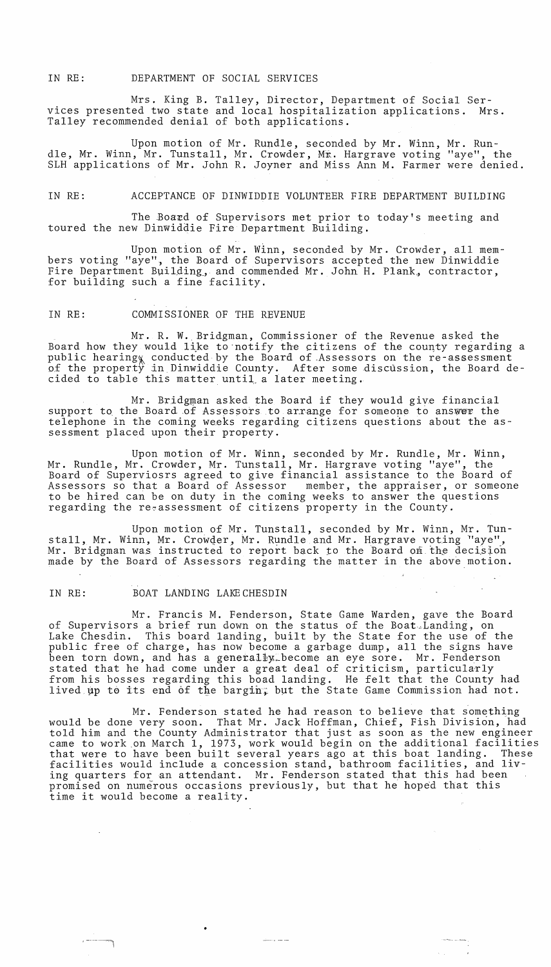IN RE: DEPARTMENT OF SOCIAL SERVICES

Mrs. King B. Talley, Director, Department of Social Services presented two state and local hospitalization applications. Mrs. Talley recommended denial of both applications.

Upon motion of Mr. Rundle, seconded by Mr. Winn, Mr. Rundle, Mr. Winn, Mr. Tunstall, Mr. Crowder, Mr. Hargrave voting "aye", the SLH applications of Mr. John R. Joyner and Miss Ann M. Farmer were denied.

## IN RE: ACCEPTANCE OF DINWIDDIE VOLUNTEER FIRE DEPARTMENT BUILDING

The Board of Supervisors met prior to today's meeting and toured the new Dinwiddie Fire Department Building.

Upon motion of Mr. Winn, seconded by Mr. Crowder, all members voting "aye", the Board of Supervisors accepted the new Dinwiddie Fire Department Building, and commended Mr. John H. Plank, contractor, for building such a fine facility.

## IN RE: COMMISSIONER OF THE REVENUE

Mr. R. W. Bridgman, Commissioner of the Revenue asked the Board how they would like to notify the citizens of the county regarding a public hearing conducted by the Board of Assessors on the re-assessment of the property in Dinwiddie County. After some discussion, the Board decided to table this matter until a later meeting.

Mr. Bridgman asked the Board if they would give financial support to the Board of Assessors to arrange for someone to answer the telephone in the coming weeks regarding citizens questions about the assessment placed upon their property.

Upon motion of Mr. Winn, seconded by Mr. Rundle, Mr. Winn, Mr. Rundle, Mr. Crowder, Mr. Tunstall, Mr. Hargrave voting "aye", the Board of Superviosrs agreed to give financial assistance to the Board of Assessors so that a Board of Assessor member, the appraiser, or someone to be hired can be on duty in the coming weeks to answer the questions regarding the re~assessment of citizens property in the County.

Upon motion of Mr. Tunstall, seconded by Mr. Winn, Mr. Tunstall, Mr. Winn, Mr. Crowder, Mr. Rundle and Mr. Hargrave voting "aye", Mr. Bridgman was instructed to report back to the Board on the decision made by the Board of Assessors regarding the matter in the above motion.

## IN RE: BOAT LANDING LAKECHESDIN

•

 $-$ 

Mr. Francis M. Fenderson, State Game Warden, gave the Board of Supervisors a brief run down on the status of the Boat~Landing, on Lake Chesdin. This board landing, built by the State for the use of the public free of charge, has now become a garbage dump, all the signs have been torn down, and has a generally become an eye sore. Mr. Fenderson stated that he had come under a great deal of criticism, particularly from his bosses regarding this boad landing. He felt that the County had lived up to its end of the bargin. but the State Game Commission had not.

Mr. Fenderson stated he had reason to believe that something would be done very soon. That Mr. Jack Hoffman, Chief, Fish Division, had told him and the County Administrator that just as soon as the new engineer came to work on March 1, 1973, work would begin on the additional facilities that were to have been built several years ago at this boat landing. These facilities would include a concession stand, bathroom facilities, and living quarters for an attendant. Mr. Fenderson stated that this had been promised on numerous occasions previously, but that he hoped that this time it would become a reality .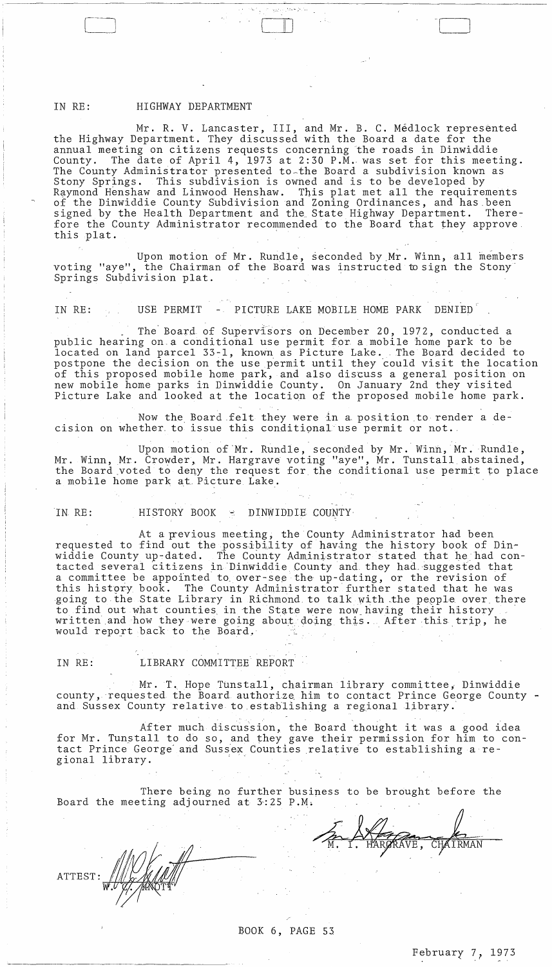## IN RE: HIGHWAY DEPARTMENT

Mr. R. V. Lancaster, III, and Mr. B. C. Médlock represented the Highway Department. They discussed with the Board a date for the annual meeting on citizens requests concerning the roads in Dinwiddie<br>County. The date of April 4, 1973 at 2:30 P.M. was set for this meet The date of April 4, 1973 at 2:30 P.M. was set for this meeting. The County Administrator presented to~the Board a subdivision known as Stony Springs. This subdivision is owned and is to be developed by Raymond Henshaw and Linwood Henshaw. This plat met all the requirements of the Dinwiddie County Subdivision and Zoning Ordinances, and has been<br>signed by the Health Department and the State Highway Department. Theresigned by the Health Department and the State Highway Department. fore the County Administrator recommended to the Board that they approve this plat.

 $\Box$ 

Upon motion of Mr. Rundle, seconded bY,Mr. Winn, all members voting "aye", the Chairman of the Board was instructed to sign the Stony' Springs Subdivision plat.

IN RE: USE PERMIT - PICTURE LAKE MOBILE HOME PARK DENIED

The Board of Supervisors on December 20, 1972, conducted a public hearing on.a conditional use permit for a mobile home park to be located on land parcel 33-1, known as Picture Lake. The Board decided to postpone the decision on the use permit until they could visit the location of this proposed mobile home park, and also discuss a general position on new mobile home parks in Dinwiddie County. On January 2nd they visited Picture Lake and looked at the location of the proposed mobile home park.

Now the Board felt they were in a position to render a decision on whether. to issue this conditional' use permit or not.,

Upon motion of Mr. Rundle, seconded by Mr. Winn, Mr. Rundle, Mr. Winn, Mr. Crowder, Mr. Hargrave voting "aye", Mr. Tunstall abstained, the Board voted to deny the request for the conditional use permit to place a mobile home park at Picture Lake.

IN RE: HISTORY BOOK - DINWIDDIE COUNTY

At a previous meeting, the County Administrator had been requested to find out the possibility of having the history book of Din-<br>widdie County up-dated. The County Administrator stated that he had con The County Administrator stated that he had contacted several citizens in Dinwiddie County and they had suggested that a committee be appointed to over-see the up-dating, or the revision of<br>this history book. The County Administrator further stated that he wa The County Administrator further stated that he was going to the State Library in Richmond to talk with the people over there to find out what counties, in the State were now\_having their history . written and how they were going about doing this. After this trip, he would report back to the Board.

IN RE: LIBRARY COMMITTEE REPORT

Mr. T. Hope Tunstall, chairman library committee, Dinwiddie county, requested the Board authorize him to contact Prince George County and Sussex County relative to establishing a regional library.

After much discussion, the Board thought it was a good idea for Mr. Tunstall to do so, and they gave their permission for him to contact Prince George" and Sussex Counties relative to establishing a regional library.

There being no further business to be brought before the Board the meeting adjourned at  $3:25$  P.M.

**ATTEST** 

BOOK 6, PAGE 53

 $\mathcal{F}$  is a set of  $\mathcal{P}$ 

M. I. HARGRAVE, CHAIRMAN